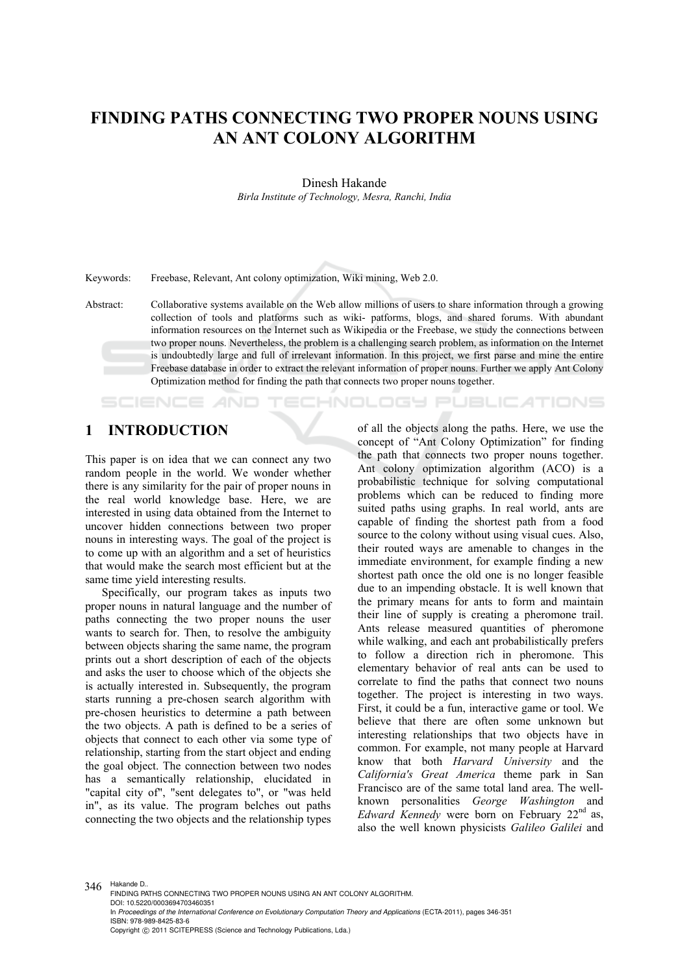# **FINDING PATHS CONNECTING TWO PROPER NOUNS USING AN ANT COLONY ALGORITHM**

Dinesh Hakande

*Birla Institute of Technology, Mesra, Ranchi, India* 

Keywords: Freebase, Relevant, Ant colony optimization, Wiki mining, Web 2.0.

Abstract: Collaborative systems available on the Web allow millions of users to share information through a growing collection of tools and platforms such as wiki- patforms, blogs, and shared forums. With abundant information resources on the Internet such as Wikipedia or the Freebase, we study the connections between two proper nouns. Nevertheless, the problem is a challenging search problem, as information on the Internet is undoubtedly large and full of irrelevant information. In this project, we first parse and mine the entire Freebase database in order to extract the relevant information of proper nouns. Further we apply Ant Colony Optimization method for finding the path that connects two proper nouns together.

## **1 INTRODUCTION**

SCIENCE *AND* 

This paper is on idea that we can connect any two random people in the world. We wonder whether there is any similarity for the pair of proper nouns in the real world knowledge base. Here, we are interested in using data obtained from the Internet to uncover hidden connections between two proper nouns in interesting ways. The goal of the project is to come up with an algorithm and a set of heuristics that would make the search most efficient but at the same time yield interesting results.

Specifically, our program takes as inputs two proper nouns in natural language and the number of paths connecting the two proper nouns the user wants to search for. Then, to resolve the ambiguity between objects sharing the same name, the program prints out a short description of each of the objects and asks the user to choose which of the objects she is actually interested in. Subsequently, the program starts running a pre-chosen search algorithm with pre-chosen heuristics to determine a path between the two objects. A path is defined to be a series of objects that connect to each other via some type of relationship, starting from the start object and ending the goal object. The connection between two nodes has a semantically relationship, elucidated in "capital city of", "sent delegates to", or "was held in", as its value. The program belches out paths connecting the two objects and the relationship types

of all the objects along the paths. Here, we use the concept of "Ant Colony Optimization" for finding the path that connects two proper nouns together. Ant colony optimization algorithm (ACO) is a probabilistic technique for solving computational problems which can be reduced to finding more suited paths using graphs. In real world, ants are capable of finding the shortest path from a food source to the colony without using visual cues. Also, their routed ways are amenable to changes in the immediate environment, for example finding a new shortest path once the old one is no longer feasible due to an impending obstacle. It is well known that the primary means for ants to form and maintain their line of supply is creating a pheromone trail. Ants release measured quantities of pheromone while walking, and each ant probabilistically prefers to follow a direction rich in pheromone. This elementary behavior of real ants can be used to correlate to find the paths that connect two nouns together. The project is interesting in two ways. First, it could be a fun, interactive game or tool. We believe that there are often some unknown but interesting relationships that two objects have in common. For example, not many people at Harvard know that both *Harvard University* and the *California's Great America* theme park in San Francisco are of the same total land area. The wellknown personalities *George Washington* and *Edward Kennedy* were born on February 22<sup>nd</sup> as, also the well known physicists *Galileo Galilei* and

**ECHNOLOGY PUBLICATIONS** 

346 Hakande D.. FINDING PATHS CONNECTING TWO PROPER NOUNS USING AN ANT COLONY ALGORITHM. DOI: 10.5220/0003694703460351 In *Proceedings of the International Conference on Evolutionary Computation Theory and Applications* (ECTA-2011), pages 346-351 ISBN: 978-989-8425-83-6 Copyright © 2011 SCITEPRESS (Science and Technology Publications, Lda.)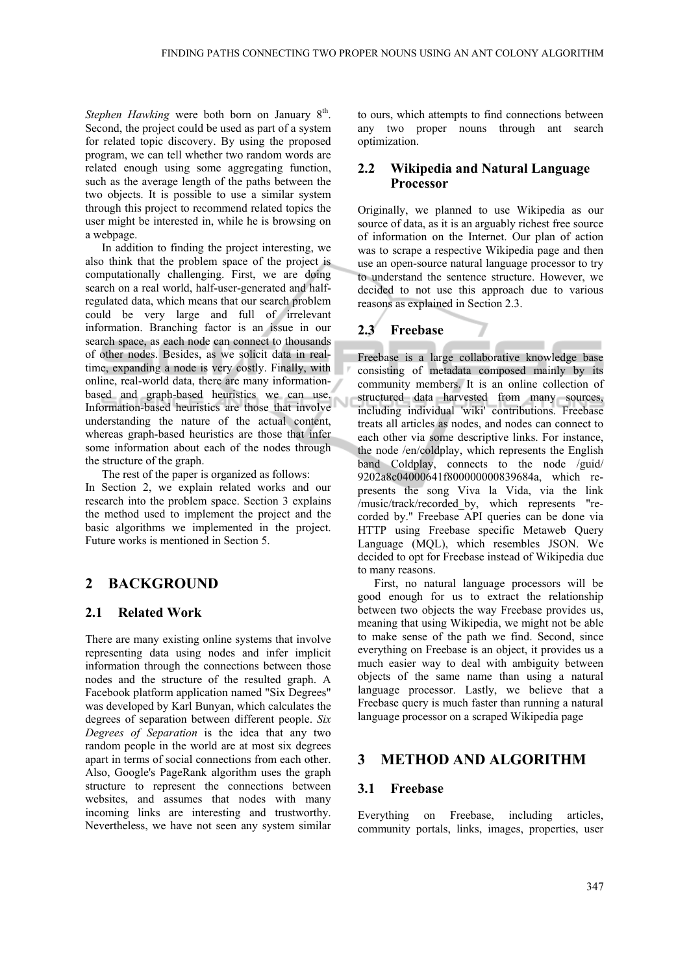*Stephen Hawking* were both born on January 8<sup>th</sup>. Second, the project could be used as part of a system for related topic discovery. By using the proposed program, we can tell whether two random words are related enough using some aggregating function, such as the average length of the paths between the two objects. It is possible to use a similar system through this project to recommend related topics the user might be interested in, while he is browsing on a webpage.

In addition to finding the project interesting, we also think that the problem space of the project is computationally challenging. First, we are doing search on a real world, half-user-generated and halfregulated data, which means that our search problem could be very large and full of irrelevant information. Branching factor is an issue in our search space, as each node can connect to thousands of other nodes. Besides, as we solicit data in realtime, expanding a node is very costly. Finally, with online, real-world data, there are many informationbased and graph-based heuristics we can use. Information-based heuristics are those that involve understanding the nature of the actual content, whereas graph-based heuristics are those that infer some information about each of the nodes through the structure of the graph.

The rest of the paper is organized as follows: In Section 2, we explain related works and our research into the problem space. Section 3 explains the method used to implement the project and the basic algorithms we implemented in the project. Future works is mentioned in Section 5.

## **2 BACKGROUND**

### **2.1 Related Work**

There are many existing online systems that involve representing data using nodes and infer implicit information through the connections between those nodes and the structure of the resulted graph. A Facebook platform application named "Six Degrees" was developed by Karl Bunyan, which calculates the degrees of separation between different people. *Six Degrees of Separation* is the idea that any two random people in the world are at most six degrees apart in terms of social connections from each other. Also, Google's PageRank algorithm uses the graph structure to represent the connections between websites, and assumes that nodes with many incoming links are interesting and trustworthy. Nevertheless, we have not seen any system similar

to ours, which attempts to find connections between any two proper nouns through ant search optimization.

## **2.2 Wikipedia and Natural Language Processor**

Originally, we planned to use Wikipedia as our source of data, as it is an arguably richest free source of information on the Internet. Our plan of action was to scrape a respective Wikipedia page and then use an open-source natural language processor to try to understand the sentence structure. However, we decided to not use this approach due to various reasons as explained in Section 2.3.

## **2.3 Freebase**

Freebase is a large collaborative knowledge base consisting of metadata composed mainly by its community members. It is an online collection of structured data harvested from many sources, including individual 'wiki' contributions. Freebase treats all articles as nodes, and nodes can connect to each other via some descriptive links. For instance, the node /en/coldplay, which represents the English band Coldplay, connects to the node /guid/ 9202a8c04000641f800000000839684a, which represents the song Viva la Vida, via the link /music/track/recorded\_by, which represents "recorded by." Freebase API queries can be done via HTTP using Freebase specific Metaweb Query Language (MQL), which resembles JSON. We decided to opt for Freebase instead of Wikipedia due to many reasons.

First, no natural language processors will be good enough for us to extract the relationship between two objects the way Freebase provides us, meaning that using Wikipedia, we might not be able to make sense of the path we find. Second, since everything on Freebase is an object, it provides us a much easier way to deal with ambiguity between objects of the same name than using a natural language processor. Lastly, we believe that a Freebase query is much faster than running a natural language processor on a scraped Wikipedia page

## **3 METHOD AND ALGORITHM**

### **3.1 Freebase**

Everything on Freebase, including articles, community portals, links, images, properties, user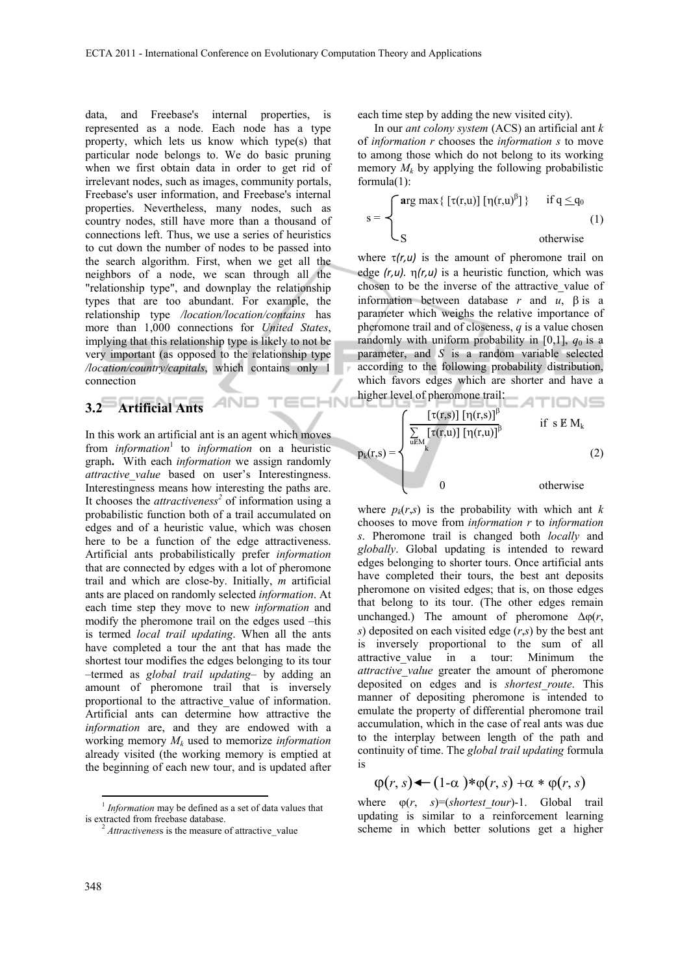ECHN

data, and Freebase's internal properties, is represented as a node. Each node has a type property, which lets us know which type(s) that particular node belongs to. We do basic pruning when we first obtain data in order to get rid of irrelevant nodes, such as images, community portals, Freebase's user information, and Freebase's internal properties. Nevertheless, many nodes, such as country nodes, still have more than a thousand of connections left. Thus, we use a series of heuristics to cut down the number of nodes to be passed into the search algorithm. First, when we get all the neighbors of a node, we scan through all the "relationship type", and downplay the relationship types that are too abundant. For example, the relationship type */location/location/contains* has more than 1,000 connections for *United States*, implying that this relationship type is likely to not be very important (as opposed to the relationship type */location/country/capitals*, which contains only 1 connection

AND

## **3.2 Artificial Ants**

In this work an artificial ant is an agent which moves from *information*<sup>1</sup> to *information* on a heuristic graph**.** With each *information* we assign randomly *attractive value* based on user's Interestingness. Interestingness means how interesting the paths are. It chooses the *attractiveness*<sup>2</sup> of information using a probabilistic function both of a trail accumulated on edges and of a heuristic value, which was chosen here to be a function of the edge attractiveness. Artificial ants probabilistically prefer *information* that are connected by edges with a lot of pheromone trail and which are close-by. Initially, *m* artificial ants are placed on randomly selected *information*. At each time step they move to new *information* and modify the pheromone trail on the edges used –this is termed *local trail updating*. When all the ants have completed a tour the ant that has made the shortest tour modifies the edges belonging to its tour –termed as *global trail updating*– by adding an amount of pheromone trail that is inversely proportional to the attractive\_value of information. Artificial ants can determine how attractive the *information* are, and they are endowed with a working memory *Mk* used to memorize *information* already visited (the working memory is emptied at the beginning of each new tour, and is updated after

each time step by adding the new visited city).

In our *ant colony system* (ACS) an artificial ant *k*  of *information r* chooses the *information s* to move to among those which do not belong to its working memory  $M_k$  by applying the following probabilistic formula(1):

$$
s = \begin{cases} \arg \max \{ \left[ \tau(r, u) \right] [\eta(r, u)^{\beta}] \} & \text{if } q \leq q_0 \\ S & \text{otherwise} \end{cases} \tag{1}
$$

where  $\tau(r, u)$  is the amount of pheromone trail on edge *(r,u).* η*(r,u)* is a heuristic function, which was chosen to be the inverse of the attractive\_value of information between database *r* and *u*, β is a parameter which weighs the relative importance of pheromone trail and of closeness, *q* is a value chosen randomly with uniform probability in  $[0,1]$ ,  $q_0$  is a parameter, and *S* is a random variable selected according to the following probability distribution, which favors edges which are shorter and have a higher level of pheromone trail:

$$
p_{k}(r,s) = \begin{cases} \frac{\left[\tau(r,s)\right]\left[\eta(r,s)\right]^{\beta}}{\sum_{u \in M} \left[\tau(r,u)\right]\left[\eta(r,u)\right]^{\beta}} & \text{if } s \in M_{k} \\ k & (2) \\ 0 & \text{otherwise} \end{cases}
$$

where  $p_k(r,s)$  is the probability with which ant *k* chooses to move from *information r* to *information s*. Pheromone trail is changed both *locally* and *globally*. Global updating is intended to reward edges belonging to shorter tours. Once artificial ants have completed their tours, the best ant deposits pheromone on visited edges; that is, on those edges that belong to its tour. (The other edges remain unchanged.) The amount of pheromone  $\Delta \omega(r)$ , *s*) deposited on each visited edge (*r*,*s*) by the best ant is inversely proportional to the sum of all attractive value in a tour: Minimum the *attractive\_value* greater the amount of pheromone deposited on edges and is *shortest\_route*. This manner of depositing pheromone is intended to emulate the property of differential pheromone trail accumulation, which in the case of real ants was due to the interplay between length of the path and continuity of time. The *global trail updating* formula is

$$
\varphi(r,s) \leftarrow (1-\alpha) * \varphi(r,s) + \alpha * \varphi(r,s)
$$

where ϕ(*r*, *s*)=(*shortest\_tour*)-1. Global trail updating is similar to a reinforcement learning scheme in which better solutions get a higher

<sup>&</sup>lt;sup>1</sup> *Information* may be defined as a set of data values that is extracted from freebase database.

<sup>&</sup>lt;sup>2</sup> *Attractiveness* is the measure of attractive value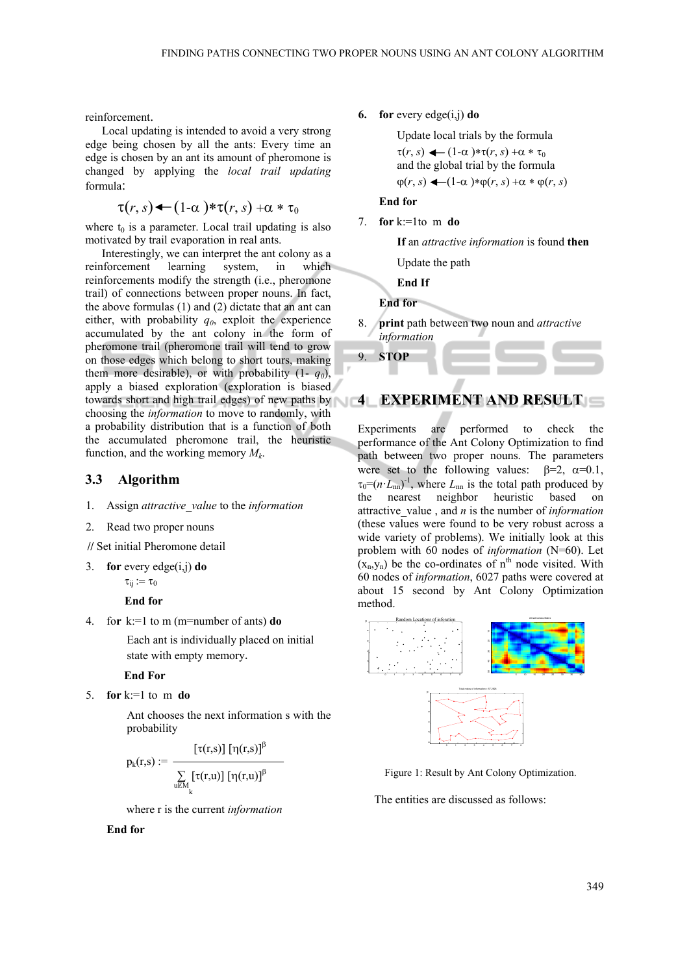reinforcement.

Local updating is intended to avoid a very strong edge being chosen by all the ants: Every time an edge is chosen by an ant its amount of pheromone is changed by applying the *local trail updating*  formula:

$$
\tau(r,s) \leftarrow (1-\alpha) * \tau(r,s) + \alpha * \tau_0
$$

where  $t_0$  is a parameter. Local trail updating is also motivated by trail evaporation in real ants.

Interestingly, we can interpret the ant colony as a reinforcement learning system, in which reinforcements modify the strength (i.e., pheromone trail) of connections between proper nouns. In fact, the above formulas (1) and (2) dictate that an ant can either, with probability  $q_0$ , exploit the experience accumulated by the ant colony in the form of pheromone trail (pheromone trail will tend to grow on those edges which belong to short tours, making them more desirable), or with probability  $(1 - q_0)$ , apply a biased exploration (exploration is biased towards short and high trail edges) of new paths by choosing the *information* to move to randomly, with a probability distribution that is a function of both the accumulated pheromone trail, the heuristic function, and the working memory *Mk*.

#### **3.3 Algorithm**

- 1. Assign *attractive\_value* to the *information*
- 2. Read two proper nouns

**//** Set initial Pheromone detail

3. **for** every edge(i,j) **do** 

 $\tau_{ii} := \tau_0$ 

**End for**

4. fo**r** k:=1 to m (m=number of ants) **do**

Each ant is individually placed on initial state with empty memory.

#### **End For**

5. **for** k:=1 to m **do**

Ant chooses the next information s with the probability

$$
p_{k}(r,s) := \frac{\left[\tau(r,s)\right]\left[\eta(r,s)\right]^{\beta}}{\sum\limits_{u \in M_{k}}\left[\tau(r,u)\right]\left[\eta(r,u)\right]^{\beta}}
$$

where r is the current *information* 

#### **End for**

**6. for** every edge(i,j) **do** 

Update local trials by the formula  $\tau(r, s) \leftarrow (1-\alpha) * \tau(r, s) + \alpha * \tau_0$ and the global trial by the formula  $\varphi(r, s) \leftarrow (1-\alpha) * \varphi(r, s) + \alpha * \varphi(r, s)$ 

### **End for**

7. **for** k:=1to m **do**

**If** an *attractive information* is found **then** 

Update the path

**End If** 

**End for** 

8. **print** path between two noun and *attractive information*



## **4 EXPERIMENT AND RESULT**

Experiments are performed to check the performance of the Ant Colony Optimization to find path between two proper nouns. The parameters were set to the following values:  $\beta = 2$ ,  $\alpha = 0.1$ ,  $\tau_0 = (n \cdot L_{nn})^{-1}$ , where  $L_{nn}$  is the total path produced by the nearest neighbor heuristic based on attractive\_value , and *n* is the number of *information*  (these values were found to be very robust across a wide variety of problems). We initially look at this problem with 60 nodes of *information* (N=60). Let  $(x_n, y_n)$  be the co-ordinates of n<sup>th</sup> node visited. With 60 nodes of *information*, 6027 paths were covered at about 15 second by Ant Colony Optimization method.





Figure 1: Result by Ant Colony Optimization.

The entities are discussed as follows: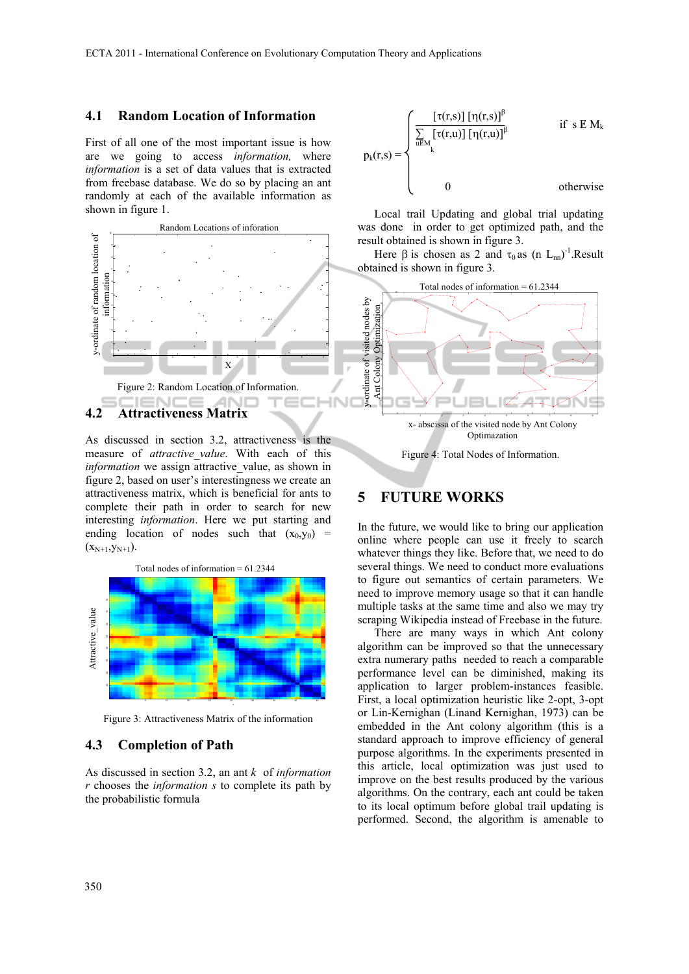### **4.1 Random Location of Information**

First of all one of the most important issue is how are we going to access *information,* where *information* is a set of data values that is extracted from freebase database. We do so by placing an ant randomly at each of the available information as shown in figure 1.



As discussed in section 3.2, attractiveness is the measure of *attractive\_value*. With each of this *information* we assign attractive value, as shown in figure 2, based on user's interestingness we create an attractiveness matrix, which is beneficial for ants to complete their path in order to search for new interesting *information*. Here we put starting and ending location of nodes such that  $(x_0, y_0)$  =  $(x_{N+1},y_{N+1}).$ 

Total nodes of information  $= 61.2344$ Attractive value Attractive\_value 5 10 15 20 25 30 35 40 45

Figure 3: Attractiveness Matrix of the information

### **4.3 Completion of Path**

As discussed in section 3.2, an ant *k* of *information r* chooses the *information s* to complete its path by the probabilistic formula

$$
p_{k}(r,s) = \begin{cases} \frac{\left[\tau(r,s)\right] \left[\eta(r,s)\right]^{\beta}}{\sum\limits_{u \in M} \left[\tau(r,u)\right] \left[\eta(r,u)\right]^{\beta}} & \text{if } s \in M_{k} \\ \downarrow & \text{if } s \in M_{k} \\ 0 & \text{otherwise} \end{cases}
$$

Local trail Updating and global trial updating was done in order to get optimized path, and the result obtained is shown in figure 3.

Here  $\beta$  is chosen as 2 and  $\tau_0$  as (n L<sub>nn</sub>)<sup>-1</sup>.Result obtained is shown in figure 3.



**5 FUTURE WORKS** 

In the future, we would like to bring our application online where people can use it freely to search whatever things they like. Before that, we need to do several things. We need to conduct more evaluations to figure out semantics of certain parameters. We need to improve memory usage so that it can handle multiple tasks at the same time and also we may try scraping Wikipedia instead of Freebase in the future.

There are many ways in which Ant colony algorithm can be improved so that the unnecessary extra numerary paths needed to reach a comparable performance level can be diminished, making its application to larger problem-instances feasible. First, a local optimization heuristic like 2-opt, 3-opt or Lin-Kernighan (Linand Kernighan, 1973) can be embedded in the Ant colony algorithm (this is a standard approach to improve efficiency of general purpose algorithms. In the experiments presented in this article, local optimization was just used to improve on the best results produced by the various algorithms. On the contrary, each ant could be taken to its local optimum before global trail updating is performed. Second, the algorithm is amenable to